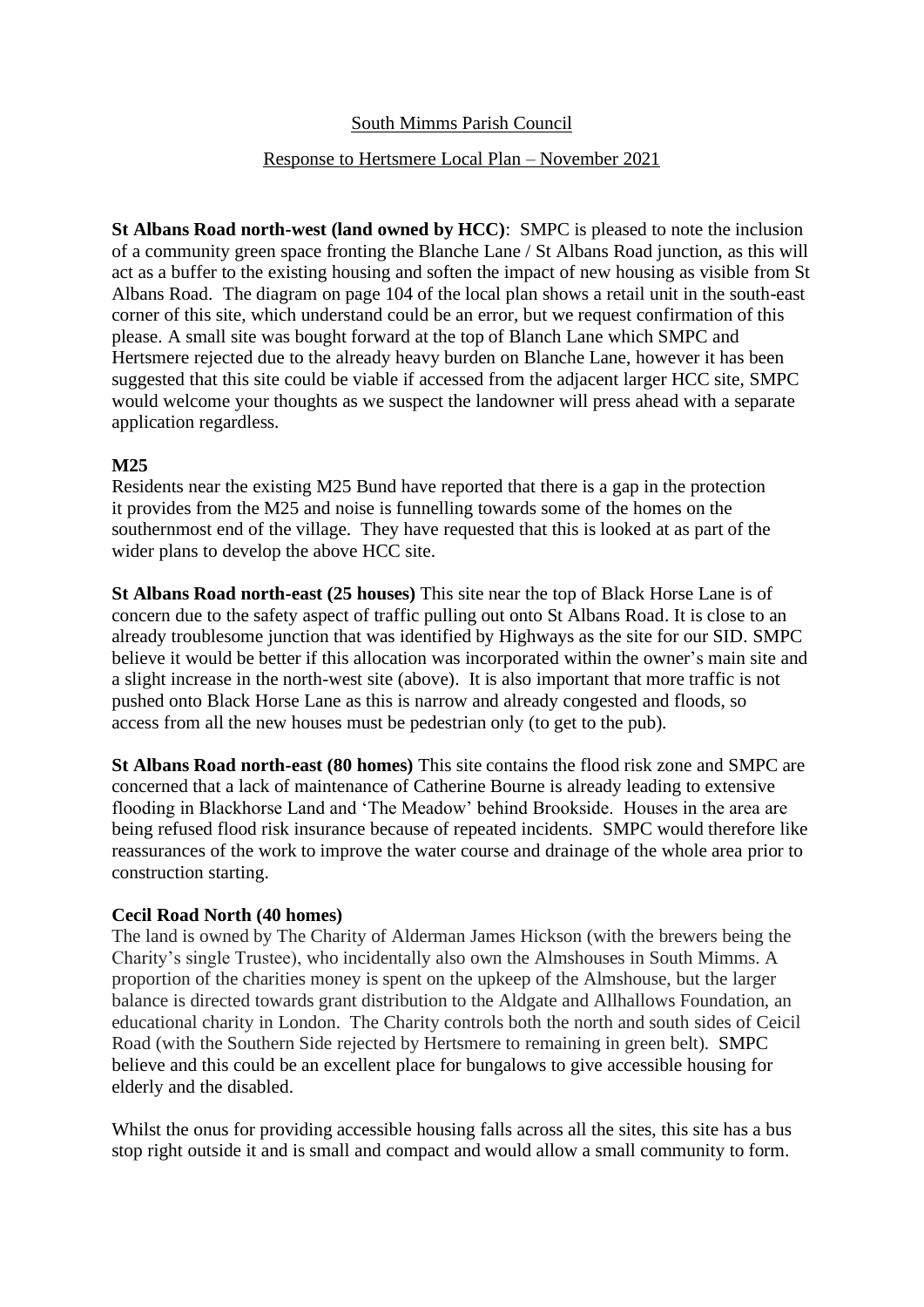# South Mimms Parish Council

# Response to Hertsmere Local Plan – November 2021

**St Albans Road north-west (land owned by HCC)**: SMPC is pleased to note the inclusion of a community green space fronting the Blanche Lane / St Albans Road junction, as this will act as a buffer to the existing housing and soften the impact of new housing as visible from St Albans Road. The diagram on page 104 of the local plan shows a retail unit in the south-east corner of this site, which understand could be an error, but we request confirmation of this please. A small site was bought forward at the top of Blanch Lane which SMPC and Hertsmere rejected due to the already heavy burden on Blanche Lane, however it has been suggested that this site could be viable if accessed from the adjacent larger HCC site, SMPC would welcome your thoughts as we suspect the landowner will press ahead with a separate application regardless.

## **M25**

Residents near the existing M25 Bund have reported that there is a gap in the protection it provides from the M25 and noise is funnelling towards some of the homes on the southernmost end of the village. They have requested that this is looked at as part of the wider plans to develop the above HCC site.

**St Albans Road north-east (25 houses)** This site near the top of Black Horse Lane is of concern due to the safety aspect of traffic pulling out onto St Albans Road. It is close to an already troublesome junction that was identified by Highways as the site for our SID. SMPC believe it would be better if this allocation was incorporated within the owner's main site and a slight increase in the north-west site (above). It is also important that more traffic is not pushed onto Black Horse Lane as this is narrow and already congested and floods, so access from all the new houses must be pedestrian only (to get to the pub).

**St Albans Road north-east (80 homes)** This site contains the flood risk zone and SMPC are concerned that a lack of maintenance of Catherine Bourne is already leading to extensive flooding in Blackhorse Land and 'The Meadow' behind Brookside. Houses in the area are being refused flood risk insurance because of repeated incidents. SMPC would therefore like reassurances of the work to improve the water course and drainage of the whole area prior to construction starting.

#### **Cecil Road North (40 homes)**

The land is owned by The Charity of Alderman James Hickson (with the brewers being the Charity's single Trustee), who incidentally also own the Almshouses in South Mimms. A proportion of the charities money is spent on the upkeep of the Almshouse, but the larger balance is directed towards grant distribution to the Aldgate and Allhallows Foundation, an educational charity in London. The Charity controls both the north and south sides of Ceicil Road (with the Southern Side rejected by Hertsmere to remaining in green belt). SMPC believe and this could be an excellent place for bungalows to give accessible housing for elderly and the disabled.

Whilst the onus for providing accessible housing falls across all the sites, this site has a bus stop right outside it and is small and compact and would allow a small community to form.